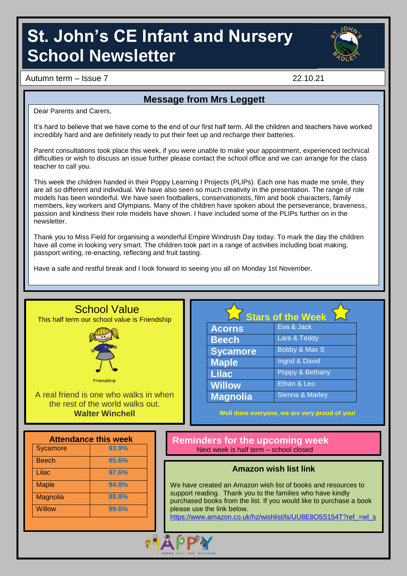# **St. John's CE Infant and Nursery School Newsletter**



Autumn term – Issue 7 22.10.21

### **Message from Mrs Leggett**

Dear Parents and Carers,

It's hard to believe that we have come to the end of our first half term. All the children and teachers have worked incredibly hard and are definitely ready to put their feet up and recharge their batteries.

Parent consultations took place this week, if you were unable to make your appointment, experienced technical difficulties or wish to discuss an issue further please contact the school office and we can arrange for the class teacher to call you.

This week the children handed in their Poppy Learning I Projects (PLIPs). Each one has made me smile, they are all so different and individual. We have also seen so much creativity in the presentation. The range of role models has been wonderful. We have seen footballers, conservationists, film and book characters, family members, key workers and Olympians. Many of the children have spoken about the perseverance, braveness, passion and kindness their role models have shown. I have included some of the PLIPs further on in the newsletter.

Thank you to Miss Field for organising a wonderful Empire Windrush Day today. To mark the day the children have all come in looking very smart. The children took part in a range of activities including boat making, passport writing, re-enacting, reflecting and fruit tasting.

Have a safe and restful break and I look forward to seeing you all on Monday 1st November.

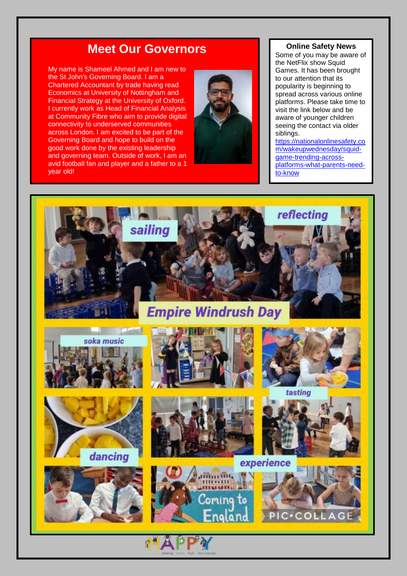## **Meet Our Governors**

My name is Shameel Ahmed and I am new to the St John's Governing Board. I am a Chartered Accountant by trade having read Economics at University of Nottingham and Financial Strategy at the University of Oxford. I currently work as Head of Financial Analysis at Community Fibre who aim to provide digital connectivity to underserved communities across London. I am excited to be part of the Governing Board and hope to build on the good work done by the existing leadership and governing team. Outside of work, I am an avid football fan and player and a father to a 1 year old!



#### **Online Safety News**

Some of you may be aware of the NetFlix show Squid Games. It has been brought to our attention that its popularity is beginning to spread across various online platforms. Please take time to visit the link below and be aware of younger children seeing the contact via older siblings.

[https://nationalonlinesafety.co](https://nationalonlinesafety.com/wakeupwednesday/squid-game-trending-across-platforms-what-parents-need-to-know) [m/wakeupwednesday/squid](https://nationalonlinesafety.com/wakeupwednesday/squid-game-trending-across-platforms-what-parents-need-to-know) game [-trending](https://nationalonlinesafety.com/wakeupwednesday/squid-game-trending-across-platforms-what-parents-need-to-know) -across [platforms](https://nationalonlinesafety.com/wakeupwednesday/squid-game-trending-across-platforms-what-parents-need-to-know)-what-parents-need-to[-know](https://nationalonlinesafety.com/wakeupwednesday/squid-game-trending-across-platforms-what-parents-need-to-know)

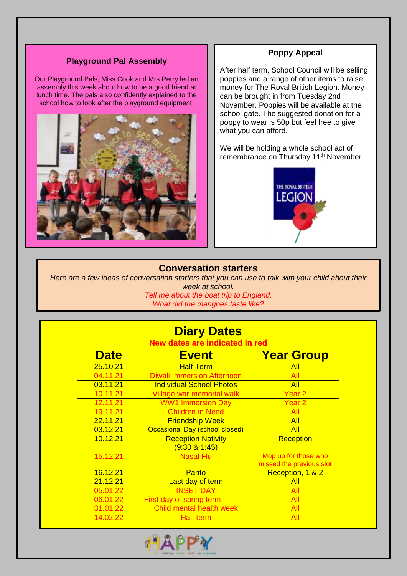#### **Playground Pal Assembly**

Our Playground Pals, Miss Cook and Mrs Perry led an assembly this week about how to be a good friend at lunch time. The pals also confidently explained to the school how to look after the playground equipment.



#### **Poppy Appeal**

After half term, School Council will be selling poppies and a range of other items to raise money for The Royal British Legion. Money can be brought in from Tuesday 2nd November. Poppies will be available at the school gate. The suggested donation for a poppy to wear is 50p but feel free to give what you can afford.

We will be holding a whole school act of remembrance on Thursday 11<sup>th</sup> November.



#### **Conversation starters**

*Here are a few ideas of conversation starters that you can use to talk with your child about their week at school. Tell me about the boat trip to England.*

í

*What did the mangoes taste like?*

| <b>Diary Dates</b>             |                                               |                                                  |
|--------------------------------|-----------------------------------------------|--------------------------------------------------|
| New dates are indicated in red |                                               |                                                  |
| <b>Date</b>                    | <b>Event</b>                                  | <b>Year Group</b>                                |
| 25.10.21                       | <b>Half Term</b>                              | All                                              |
| 04.11.21                       | <b>Diwali Immersion Afternoon</b>             | All                                              |
| 03.11.21                       | <b>Individual School Photos</b>               | All                                              |
| 10.11.21                       | Village war memorial walk                     | Year 2                                           |
| 12.11.21                       | <b>WW1 Immersion Day</b>                      | Year <sub>2</sub>                                |
| 19.11.21                       | <b>Children in Need</b>                       | All                                              |
| 22.11.21                       | <b>Friendship Week</b>                        | <b>All</b>                                       |
| 03.12.21                       | Occasional Day (school closed)                | All                                              |
| 10.12.21                       | <b>Reception Nativity</b><br>$(9:30 \& 1:45)$ | <b>Reception</b>                                 |
| 15.12.21                       | <b>Nasal Flu</b>                              | Mop up for those who<br>missed the previous slot |
| 16.12.21                       | Panto                                         | Reception, 1 & 2                                 |
| 21.12.21                       | Last day of term                              | All                                              |
| 05.01.22                       | <b>INSET DAY</b>                              | All                                              |
| 06.01.22                       | First day of spring term                      | All                                              |
| 31.01.22                       | Child mental health week                      | All                                              |
| 14.02.22                       | <b>Half term</b>                              | All                                              |